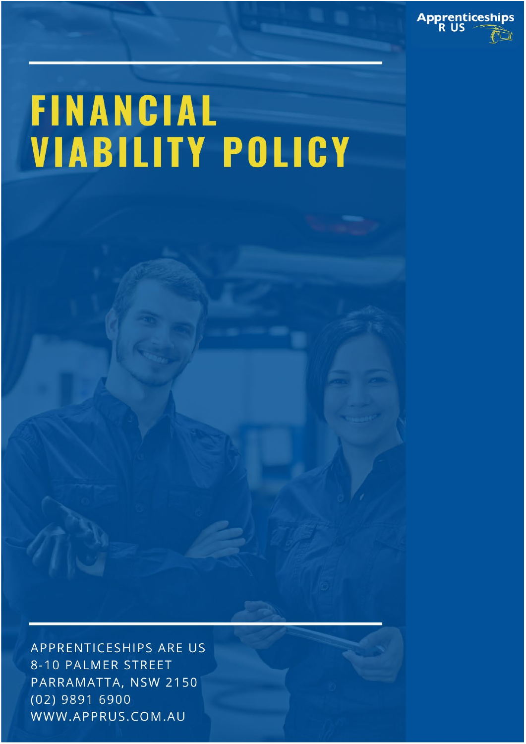

## **FINANCIAL VIABILITY POLICY**

APPRENTICESHIPS ARE US 8-10 PALMER STREET PARRAMATTA, NSW 2150 (02) 9891 6900 WWW.APPRUS.COM.AU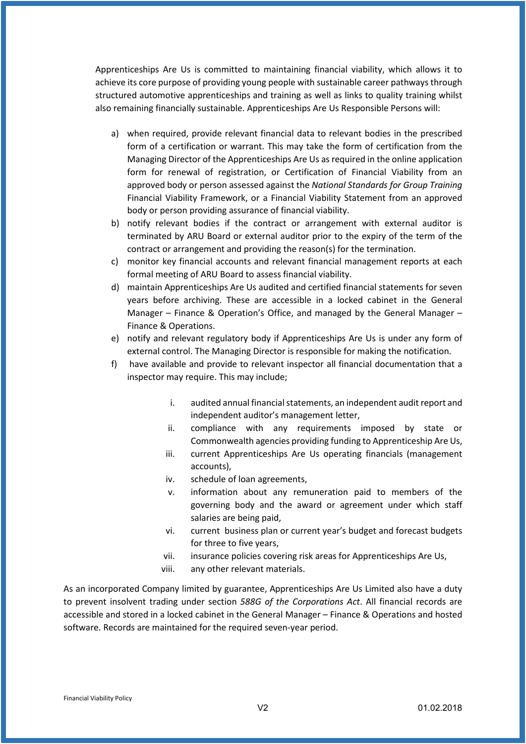Apprenticeships Are Us is committed to maintaining financial viability, which allows it to achieve its core purpose of providing young people with sustainable career pathways through structured automotive apprenticeships and training as well as links to quality training whilst also remaining financially sustainable. Apprenticeships Are Us Responsible Persons will:

- a) when required, provide relevant financial data to relevant bodies in the prescribed form of a certification or warrant. This may take the form of certification from the Managing Director of the Apprenticeships Are Us as required in the online application form for renewal of registration, or Certification of Financial Viability from an approved body or person assessed against the *National Standards for Group Training* Financial Viability Framework, or a Financial Viability Statement from an approved body or person providing assurance of financial viability.
- b) notify relevant bodies if the contract or arrangement with external auditor is terminated by ARU Board or external auditor prior to the expiry of the term of the contract or arrangement and providing the reason(s) for the termination.
- c) monitor key financial accounts and relevant financial management reports at each formal meeting of ARU Board to assess financial viability.
- d) maintain Apprenticeships Are Us audited and certified financial statements for seven years before archiving. These are accessible in a locked cabinet in the General Manager – Finance & Operation's Office, and managed by the General Manager – Finance & Operations.
- e) notify and relevant regulatory body if Apprenticeships Are Us is under any form of external control. The Managing Director is responsible for making the notification.
- f) have available and provide to relevant inspector all financial documentation that a inspector may require. This may include;
	- i. audited annual financial statements, an independent audit report and independent auditor's management letter,
	- ii. compliance with any requirements imposed by state or Commonwealth agencies providing funding to Apprenticeship Are Us,
	- iii. current Apprenticeships Are Us operating financials (management accounts),
	- iv. schedule of loan agreements,
	- v. information about any remuneration paid to members of the governing body and the award or agreement under which staff salaries are being paid,
	- vi. current business plan or current year's budget and forecast budgets for three to five years,
	- vii. insurance policies covering risk areas for Apprenticeships Are Us,
	- viii. any other relevant materials.

As an incorporated Company limited by guarantee, Apprenticeships Are Us Limited also have a duty to prevent insolvent trading under section *588G of the Corporations Act*. All financial records are accessible and stored in a locked cabinet in the General Manager – Finance & Operations and hosted software. Records are maintained for the required seven-year period.